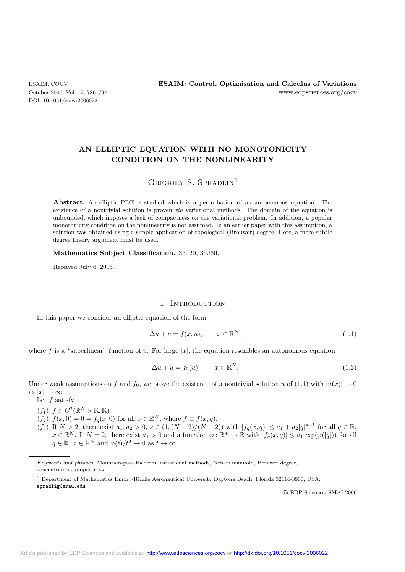DOI: 10.1051/cocv:2006022

# **AN ELLIPTIC EQUATION WITH NO MONOTONICITY CONDITION ON THE NONLINEARITY**

# GREGORY S. SPRADLIN<sup>1</sup>

**Abstract.** An elliptic PDE is studied which is a perturbation of an autonomous equation. The existence of a nontrivial solution is proven *via* variational methods. The domain of the equation is unbounded, which imposes a lack of compactness on the variational problem. In addition, a popular monotonicity condition on the nonlinearity is not assumed. In an earlier paper with this assumption, a solution was obtained using a simple application of topological (Brouwer) degree. Here, a more subtle degree theory argument must be used.

**Mathematics Subject Classification.** 35J20, 35J60.

Received July 6, 2005.

### 1. INTRODUCTION

In this paper we consider an elliptic equation of the form

$$
-\Delta u + u = f(x, u), \qquad x \in \mathbb{R}^N,
$$
\n
$$
(1.1)
$$

where f is a "superlinear" function of u. For large  $|x|$ , the equation resembles an autonomous equation

$$
-\Delta u + u = f_0(u), \qquad x \in \mathbb{R}^N. \tag{1.2}
$$

Under weak assumptions on f and  $f_0$ , we prove the existence of a nontrivial solution u of (1.1) with  $|u(x)| \to 0$ as  $|x| \to \infty$ .

Let  $f$  satisfy

- $(f_1)$   $f \in C^2(\mathbb{R}^N \times \mathbb{R}, \mathbb{R}).$
- $(f_2)$   $f(x, 0) = 0 = f_q(x, 0)$  for all  $x \in \mathbb{R}^N$ , where  $f \equiv f(x, q)$ .
- $(f_3)$  If  $N > 2$ , there exist  $a_1, a_2 > 0$ ,  $s \in (1, (N+2)/(N-2))$  with  $|f_q(x,q)| \le a_1 + a_2|q|^{s-1}$  for all  $q \in \mathbb{R}$ ,  $x \in \mathbb{R}^N$ . If  $N = 2$ , there exist  $a_1 > 0$  and a function  $\varphi : \mathbb{R}^+ \to \mathbb{R}$  with  $|f_q(x, q)| \le a_1 \exp(\varphi(|q|))$  for all  $q \in \mathbb{R}, x \in \mathbb{R}^N$  and  $\varphi(t)/t^2 \to 0$  as  $t \to \infty$ .

spradlig@erau.edu

c EDP Sciences, SMAI 2006

Keywords and phrases. Mountain-pass theorem, variational methods, Nehari manifold, Brouwer degree, concentration-compactness.

<sup>1</sup> Department of Mathematics Embry-Riddle Aeronautical University Daytona Beach, Florida 32114-3900, USA;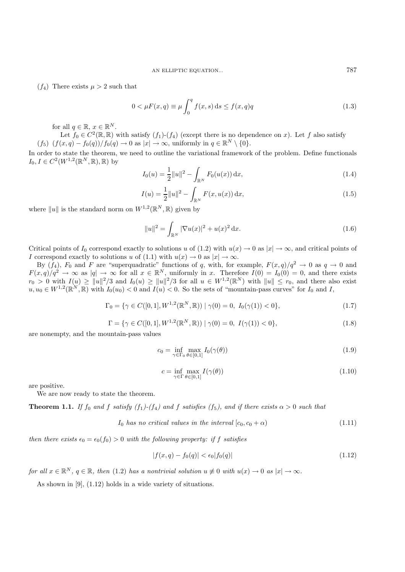$(f_4)$  There exists  $\mu > 2$  such that

$$
0 < \mu F(x, q) \equiv \mu \int_0^q f(x, s) ds \le f(x, q)q
$$
\n(1.3)

for all  $q \in \mathbb{R}$ ,  $x \in \mathbb{R}^N$ .

Let  $f_0 \in C^2(\mathbb{R}, \mathbb{R})$  with satisfy  $(f_1)$ - $(f_4)$  (except there is no dependence on x). Let f also satisfy  $(f_5)$   $(f(x,q) - f_0(q))/f_0(q) \to 0$  as  $|x| \to \infty$ , uniformly in  $q \in \mathbb{R}^N \setminus \{0\}.$ 

In order to state the theorem, we need to outline the variational framework of the problem. Define functionals  $I_0, I \in C^2(W^{1,2}(\mathbb{R}^N, \mathbb{R}), \mathbb{R})$  by

$$
I_0(u) = \frac{1}{2} ||u||^2 - \int_{\mathbb{R}^N} F_0(u(x)) dx,
$$
\n(1.4)

$$
I(u) = \frac{1}{2}||u||^2 - \int_{\mathbb{R}^N} F(x, u(x)) dx,
$$
\n(1.5)

where  $||u||$  is the standard norm on  $W^{1,2}(\mathbb{R}^N,\mathbb{R})$  given by

$$
||u||^2 = \int_{\mathbb{R}^N} |\nabla u(x)|^2 + u(x)^2 dx.
$$
 (1.6)

Critical points of  $I_0$  correspond exactly to solutions u of (1.2) with  $u(x) \to 0$  as  $|x| \to \infty$ , and critical points of I correspond exactly to solutions u of (1.1) with  $u(x) \to 0$  as  $|x| \to \infty$ .

By  $(f_4)$ ,  $F_0$  and F are "superquadratic" functions of q, with, for example,  $F(x, q)/q^2 \to 0$  as  $q \to 0$  and  $F(x,q)/q^2 \to \infty$  as  $|q| \to \infty$  for all  $x \in \mathbb{R}^N$ , uniformly in x. Therefore  $I(0) = I_0(0) = 0$ , and there exists  $r_0 > 0$  with  $I(u) \ge ||u||^2/3$  and  $I_0(u) \ge ||u||^2/3$  for all  $u \in W^{1,2}(\mathbb{R}^N)$  with  $||u|| \le r_0$ , and there also exist  $u, u_0 \in W^{1,2}(\mathbb{R}^N, \mathbb{R})$  with  $I_0(u_0) < 0$  and  $I(u) < 0$ . So the sets of "mountain-pass curves" for  $I_0$  and I,

$$
\Gamma_0 = \{ \gamma \in C([0, 1], W^{1,2}(\mathbb{R}^N, \mathbb{R})) \mid \gamma(0) = 0, I_0(\gamma(1)) < 0 \},\tag{1.7}
$$

$$
\Gamma = \{ \gamma \in C([0, 1], W^{1,2}(\mathbb{R}^N, \mathbb{R})) \mid \gamma(0) = 0, I(\gamma(1)) < 0 \},
$$
\n(1.8)

are nonempty, and the mountain-pass values

$$
c_0 = \inf_{\gamma \in \Gamma_0} \max_{\theta \in [0,1]} I_0(\gamma(\theta))
$$
\n(1.9)

$$
c = \inf_{\gamma \in \Gamma} \max_{\theta \in [0,1]} I(\gamma(\theta)) \tag{1.10}
$$

are positive.

We are now ready to state the theorem.

**Theorem 1.1.** *If*  $f_0$  *and*  $f$  *satisfy*  $(f_1)$ - $(f_4)$  *and*  $f$  *satisfies*  $(f_5)$ *, and if there exists*  $\alpha > 0$  *such that* 

 $I_0$  *has no critical values in the interval*  $[c_0, c_0 + \alpha)$  (1.11)

*then there exists*  $\epsilon_0 = \epsilon_0(f_0) > 0$  *with the following property: if* f *satisfies* 

$$
|f(x,q) - f_0(q)| < \epsilon_0 |f_0(q)| \tag{1.12}
$$

*for all*  $x \in \mathbb{R}^N$ ,  $q \in \mathbb{R}$ *, then* (1.2) *has a nontrivial solution*  $u \neq 0$  *with*  $u(x) \to 0$  *as*  $|x| \to \infty$ *.* 

As shown in [9], (1.12) holds in a wide variety of situations.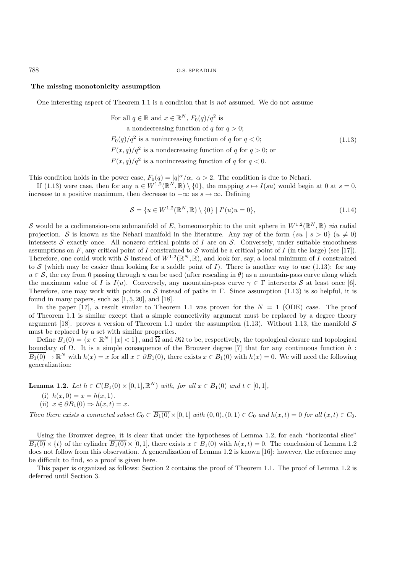788 G.S. SPRADLIN

#### **The missing monotonicity assumption**

One interesting aspect of Theorem 1.1 is a condition that is *not* assumed. We do not assume

For all 
$$
q \in \mathbb{R}
$$
 and  $x \in \mathbb{R}^N$ ,  $F_0(q)/q^2$  is  
\na nondecreasing function of q for  $q > 0$ ;  
\n $F_0(q)/q^2$  is a nonincreasing function of q for  $q < 0$ ;  
\n $F(x,q)/q^2$  is a nondecreasing function of q for  $q > 0$ ; or  
\n $F(x,q)/q^2$  is a nonincreasing function of q for  $q < 0$ .  
\n(1.13)

This condition holds in the power case,  $F_0(q) = |q|^\alpha/\alpha$ ,  $\alpha > 2$ . The condition is due to Nehari.

If (1.13) were case, then for any  $u \in W^{1,2}(\mathbb{R}^N, \mathbb{R}) \setminus \{0\}$ , the mapping  $s \mapsto I(su)$  would begin at 0 at  $s = 0$ , increase to a positive maximum, then decrease to  $-\infty$  as  $s \to \infty$ . Defining

$$
S = \{u \in W^{1,2}(\mathbb{R}^N, \mathbb{R}) \setminus \{0\} \mid I'(u)u = 0\},\tag{1.14}
$$

S would be a codimension-one submanifold of E, homeomorphic to the unit sphere in  $W^{1,2}(\mathbb{R}^N,\mathbb{R})$  *via* radial projection. S is known as the Nehari manifold in the literature. Any ray of the form  $\{su | s > 0\}$   $(u \neq 0)$ intersects S exactly once. All nonzero critical points of I are on S. Conversely, under suitable smoothness assumptions on F, any critical point of I constrained to S would be a critical point of I (in the large) (see [17]). Therefore, one could work with S instead of  $W^{1,2}(\mathbb{R}^N,\mathbb{R})$ , and look for, say, a local minimum of I constrained to S (which may be easier than looking for a saddle point of I). There is another way to use (1.13): for any  $u \in S$ , the ray from 0 passing through u can be used (after rescaling in  $\theta$ ) as a mountain-pass curve along which the maximum value of I is  $I(u)$ . Conversely, any mountain-pass curve  $\gamma \in \Gamma$  intersects S at least once [6]. Therefore, one may work with points on S instead of paths in Γ. Since assumption (1.13) is so helpful, it is found in many papers, such as  $[1, 5, 20]$ , and  $[18]$ .

In the paper [17], a result similar to Theorem 1.1 was proven for the  $N = 1$  (ODE) case. The proof of Theorem 1.1 is similar except that a simple connectivity argument must be replaced by a degree theory argument [18]. proves a version of Theorem 1.1 under the assumption (1.13). Without 1.13, the manifold  $S$ must be replaced by a set with similar properties.

Define  $B_1(0) = \{x \in \mathbb{R}^N \mid |x| < 1\}$ , and  $\overline{\Omega}$  and  $\partial\Omega$  to be, respectively, the topological closure and topological boundary of  $\Omega$ . It is a simple consequence of the Brouwer degree [7] that for any continuous function h:  $\overline{B_1(0)} \to \mathbb{R}^N$  with  $h(x) = x$  for all  $x \in \partial B_1(0)$ , there exists  $x \in B_1(0)$  with  $h(x) = 0$ . We will need the following generalization:

**Lemma 1.2.** Let 
$$
h \in C(\overline{B_1(0)} \times [0, 1], \mathbb{R}^N)
$$
 with, for all  $x \in \overline{B_1(0)}$  and  $t \in [0, 1]$ ,  
\n(i)  $h(x, 0) = x = h(x, 1)$ .  
\n(ii)  $x \in \partial B_1(0) \Rightarrow h(x, t) = x$ .

*Then there exists a connected subset*  $C_0 \subset B_1(0) \times [0, 1]$  *with*  $(0, 0), (0, 1) \in C_0$  *and*  $h(x, t) = 0$  *for all*  $(x, t) \in C_0$ *.* 

Using the Brouwer degree, it is clear that under the hypotheses of Lemma 1.2, for each "horizontal slice"  $\overline{B_1(0)} \times \{t\}$  of the cylinder  $\overline{B_1(0)} \times [0,1]$ , there exists  $x \in B_1(0)$  with  $h(x,t) = 0$ . The conclusion of Lemma 1.2 does not follow from this observation. A generalization of Lemma 1.2 is known [16]: however, the reference may be difficult to find, so a proof is given here.

This paper is organized as follows: Section 2 contains the proof of Theorem 1.1. The proof of Lemma 1.2 is deferred until Section 3.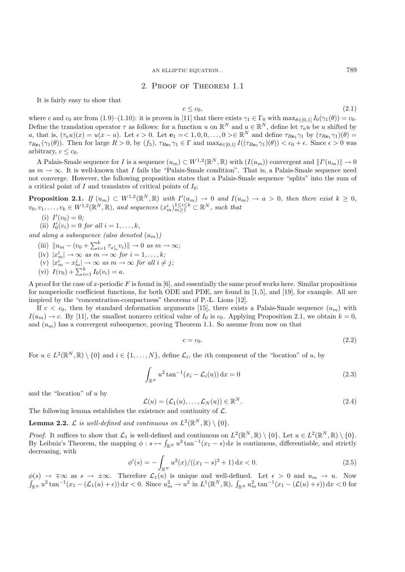AN ELLIPTIC EQUATION... 789

## 2. Proof of Theorem 1.1

It is fairly easy to show that

$$
c \le c_0,\tag{2.1}
$$

where c and c<sub>0</sub> are from (1.9)–(1.10): it is proven in [11] that there exists  $\gamma_1 \in \Gamma_0$  with  $\max_{\theta \in [0,1]} I_0(\gamma_1(\theta)) = c_0$ . Define the translation operator  $\tau$  as follows: for a function u on  $\mathbb{R}^N$  and  $a \in \mathbb{R}^N$ , define let  $\tau_a u$  be u shifted by a, that is,  $(\tau_a u)(x) = u(x - a)$ . Let  $\epsilon > 0$ . Let  $\mathbf{e}_1 = \epsilon \leq 1, 0, 0, \ldots, 0 > \epsilon \mathbb{R}^N$  and define  $\tau_{R\mathbf{e}_1} \gamma_1$  by  $(\tau_{R\mathbf{e}_1} \gamma_1)(\theta) =$  $\tau_{\text{Re}_1}(\gamma_1(\theta))$ . Then for large  $R > 0$ , by  $(f_5)$ ,  $\tau_{\text{Re}_1} \gamma_1 \in \Gamma$  and  $\max_{\theta \in [0,1]} I((\tau_{\text{Re}_1} \gamma_1)(\theta)) < c_0 + \epsilon$ . Since  $\epsilon > 0$  was arbitrary,  $c \leq c_0$ .

A Palais-Smale sequence for I is a sequence  $(u_m) \subset W^{1,2}(\mathbb{R}^N,\mathbb{R})$  with  $(I(u_m))$  convergent and  $||I'(u_m)|| \to 0$ as  $m \to \infty$ . It is well-known that I fails the "Palais-Smale condition". That is, a Palais-Smale sequence need not converge. However, the following proposition states that a Palais-Smale sequence "splits" into the sum of a critical point of I and translates of critical points of  $I_0$ :

**Proposition 2.1.** If  $(u_m) \subset W^{1,2}(\mathbb{R}^N, \mathbb{R})$  with  $I'(u_m) \to 0$  and  $I(u_m) \to a > 0$ , then there exist  $k \geq 0$ ,  $v_0, v_1, \ldots, v_k \in W^{1,2}(\mathbb{R}^N, \mathbb{R})$ , and sequences  $(x_m^i)_{m \geq 1}^{1 \leq i \leq k} \subset \mathbb{R}^N$ , such that

- (i)  $I'(v_0)=0;$
- (ii)  $I'_0(v_i) = 0$  *for all*  $i = 1, ..., k$ ,

*and along a subsequence (also denoted*  $(u_m)$ )

- $(iii)$   $\|u_m (v_0 + \sum_{i=1}^k \tau_{x_m^i} v_i)\| \to 0 \text{ as } m \to \infty;$
- $(iv)$   $|x_m^i| \rightarrow \infty$  *as*  $m \rightarrow \infty$  *for*  $i = 1, \ldots, k;$
- (v)  $|x_m^i x_m^j| \to \infty$  *as*  $m \to \infty$  *for all*  $i \neq j$ ;
- (vi)  $I(v_0) + \sum_{i=1}^{k} I_0(v_i) = a$ .

A proof for the case of x-periodic F is found in [6], and essentially the same proof works here. Similar propositions for nonperiodic coefficient functions, for both ODE and PDE, are found in [1, 5], and [19], for example. All are inspired by the "concentration-compactness" theorems of P.-L. Lions [12].

If  $c < c_0$ , then by standard deformation arguments [15], there exists a Palais-Smale sequence  $(u_m)$  with  $I(u_m) \to c$ . By [11], the smallest nonzero critical value of  $I_0$  is  $c_0$ . Applying Proposition 2.1, we obtain  $k = 0$ . and  $(u_m)$  has a convergent subsequence, proving Theorem 1.1. So assume from now on that

$$
c = c_0. \tag{2.2}
$$

For  $u \in L^2(\mathbb{R}^N, \mathbb{R}) \setminus \{0\}$  and  $i \in \{1, ..., N\}$ , define  $\mathcal{L}_i$ , the *i*th component of the "location" of u, by

$$
\int_{\mathbb{R}^N} u^2 \tan^{-1}(x_i - \mathcal{L}_i(u)) \, \mathrm{d}x = 0 \tag{2.3}
$$

and the "location" of u by

$$
\mathcal{L}(u) = (\mathcal{L}_1(u), \dots, \mathcal{L}_N(u)) \in \mathbb{R}^N.
$$
\n(2.4)

The following lemma establishes the existence and continuity of  $\mathcal{L}$ .

**Lemma 2.2.**  $\mathcal{L}$  *is well-defined and continuous on*  $L^2(\mathbb{R}^N,\mathbb{R}) \setminus \{0\}$ *.* 

*Proof.* It suffices to show that  $\mathcal{L}_1$  is well-defined and continuous on  $L^2(\mathbb{R}^N,\mathbb{R}) \setminus \{0\}$ . Let  $u \in L^2(\mathbb{R}^N,\mathbb{R}) \setminus \{0\}$ . By Leibniz's Theorem, the mapping  $\phi : s \mapsto \int_{\mathbb{R}^N} u^2 \tan^{-1}(x_1 - s) dx$  is continuous, differentiable, and strictly decreasing, with

$$
\phi'(s) = -\int_{\mathbb{R}^N} u^2(x) / ((x_1 - s)^2 + 1) \, dx < 0. \tag{2.5}
$$

 $\phi(s) \to \pm \infty$  as  $s \to \pm \infty$ . Therefore  $\mathcal{L}_1(u)$  is unique and well-defined. Let  $\epsilon > 0$  and  $u_m \to u$ . Now  $\int_{\mathbb{R}^N} u^2 \tan^{-1}(x_1 - (\mathcal{L}_1(u) + \epsilon)) \,dx < 0.$  Since  $u_m^2 \to u^2$  in  $L^1(\mathbb{R}^N, \mathbb{R})$ ,  $\int_{\mathbb{R}^N} u_m^2 \tan^{-1}(x_1 - (\mathcal{L}(u) + \epsilon)) \,dx < 0$  for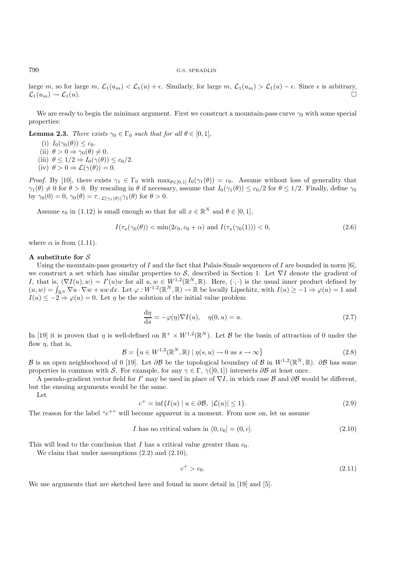#### 790 G.S. SPRADLIN

large m, so for large m,  $\mathcal{L}_1(u_m) < \mathcal{L}_1(u) + \epsilon$ . Similarly, for large m,  $\mathcal{L}_1(u_m) > \mathcal{L}_1(u) - \epsilon$ . Since  $\epsilon$  is arbitrary,  $\mathcal{L}_1(u_m) \to \mathcal{L}_1(u).$ 

We are ready to begin the minimax argument. First we construct a mountain-pass curve  $\gamma_0$  with some special properties:

**Lemma 2.3.** *There exists*  $\gamma_0 \in \Gamma_0$  *such that for all*  $\theta \in [0, 1]$ *,* 

- (i)  $I_0(\gamma_0(\theta)) \leq c_0$ .
- (ii)  $\theta > 0 \Rightarrow \gamma_0(\theta) \neq 0$ .
- (iii)  $\theta \leq 1/2 \Rightarrow I_0(\gamma(\theta)) \leq c_0/2.$
- (iv)  $\theta > 0 \Rightarrow \mathcal{L}(\gamma(\theta)) = 0.$

*Proof.* By [10], there exists  $\gamma_1 \in \Gamma_0$  with  $\max_{\theta \in [0,1]} I_0(\gamma_1(\theta)) = c_0$ . Assume without loss of generality that  $\gamma_1(\theta) \neq 0$  for  $\theta > 0$ . By rescaling in  $\theta$  if necessary, assume that  $I_0(\gamma_1(\theta)) \leq c_0/2$  for  $\theta \leq 1/2$ . Finally, define  $\gamma_0$ by  $\gamma_0(0) = 0$ ,  $\gamma_0(\theta) = \tau_{-\mathcal{L}(\gamma_1(\theta))}\gamma_1(\theta)$  for  $\theta > 0$ .

Assume  $\epsilon_0$  in (1.12) is small enough so that for all  $x \in \mathbb{R}^N$  and  $\theta \in [0, 1]$ ,

$$
I(\tau_x(\gamma_0(\theta)) < \min(2c_0, c_0 + \alpha) \text{ and } I(\tau_x(\gamma_0(1))) < 0,\tag{2.6}
$$

where  $\alpha$  is from (1.11).

#### **A substitute for** S

Using the mountain-pass geometry of I and the fact that Palais-Smale sequences of I are bounded in norm  $[6]$ , we construct a set which has similar properties to S, described in Section 1. Let  $\nabla I$  denote the gradient of I, that is,  $(\nabla I(u), w) = I'(u)w$  for all  $u, w \in W^{1,2}(\mathbb{R}^N, \mathbb{R})$ . Here,  $(\cdot, \cdot)$  is the usual inner product defined by  $(u, w) = \int_{\mathbb{R}^N} \nabla u \cdot \nabla w + uw \, dx$ . Let  $\varphi : W^{1,2}(\mathbb{R}^N, \mathbb{R}) \to \mathbb{R}$  be locally Lipschitz, with  $I(u) \geq -1 \Rightarrow \varphi(u) = 1$  and  $I(u) \leq -2 \Rightarrow \varphi(u) = 0$ . Let  $\eta$  be the solution of the initial value problem

$$
\frac{d\eta}{ds} = -\varphi(\eta)\nabla I(u), \quad \eta(0, u) = u.
$$
\n(2.7)

In [19] it is proven that  $\eta$  is well-defined on  $\mathbb{R}^+ \times W^{1,2}(\mathbb{R}^N)$ . Let  $\mathcal B$  be the basin of attraction of 0 under the flow  $\eta$ , that is,

$$
\mathcal{B} = \left\{ u \in W^{1,2}(\mathbb{R}^N, \mathbb{R}) \mid \eta(s, u) \to 0 \text{ as } s \to \infty \right\}
$$
\n
$$
(2.8)
$$

B is an open neighborhood of 0 [19]. Let  $\partial \mathcal{B}$  be the topological boundary of B in  $W^{1,2}(\mathbb{R}^N,\mathbb{R})$ .  $\partial \mathcal{B}$  has some properties in common with S. For example, for any  $\gamma \in \Gamma$ ,  $\gamma([0,1])$  intersects  $\partial \mathcal{B}$  at least once.

A pseudo-gradient vector field for I' may be used in place of  $\nabla I$ , in which case B and  $\partial B$  would be different, but the ensuing arguments would be the same.

Let

$$
c^{+} = \inf \{ I(u) \mid u \in \partial \mathcal{B}, \ |\mathcal{L}(u)| \le 1 \}. \tag{2.9}
$$

The reason for the label " $c^{+}$ " will become apparent in a moment. From now on, let us assume

$$
I \text{ has no critical values in } (0, c_0] = (0, c]. \tag{2.10}
$$

This will lead to the conclusion that I has a critical value greater than  $c_0$ .

We claim that under assumptions (2.2) and (2.10),

$$
c^+ > c_0. \tag{2.11}
$$

We use arguments that are sketched here and found in more detail in [19] and [5].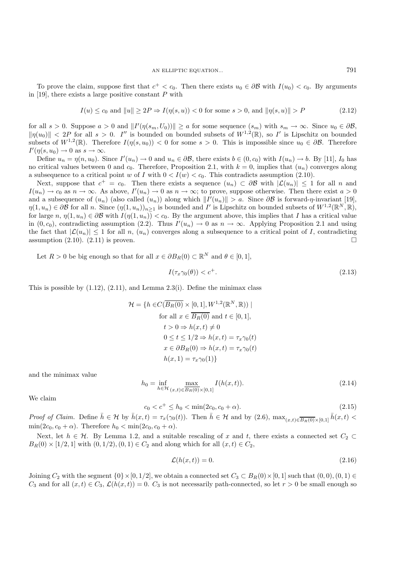To prove the claim, suppose first that  $c^+ < c_0$ . Then there exists  $u_0 \in \partial \mathcal{B}$  with  $I(u_0) < c_0$ . By arguments in [19], there exists a large positive constant  $P$  with

$$
I(u) \le c_0 \text{ and } ||u|| \ge 2P \Rightarrow I(\eta(s, u)) < 0 \text{ for some } s > 0, \text{ and } ||\eta(s, u)|| > P \tag{2.12}
$$

for all  $s > 0$ . Suppose  $a > 0$  and  $||I'(\eta(s_m, U_0))|| \ge a$  for some sequence  $(s_m)$  with  $s_m \to \infty$ . Since  $u_0 \in \partial \mathcal{B}$ ,  $\|\eta(u_0)\| < 2P$  for all  $s > 0$ . I'' is bounded on bounded subsets of  $W^{1,2}(\mathbb{R})$ , so I' is Lipschitz on bounded subsets of  $W^{1,2}(\mathbb{R})$ . Therefore  $I(\eta(s, u_0)) < 0$  for some  $s > 0$ . This is impossible since  $u_0 \in \partial \mathcal{B}$ . Therefore  $I'(\eta(s, u_0) \to 0 \text{ as } s \to \infty.$ 

Define  $u_n = \eta(n, u_0)$ . Since  $I'(u_n) \to 0$  and  $u_n \in \partial \mathcal{B}$ , there exists  $b \in (0, c_0)$  with  $I(u_n) \to b$ . By [11],  $I_0$  has no critical values between 0 and  $c_0$ . Therefore, Proposition 2.1, with  $k = 0$ , implies that  $(u_n)$  converges along a subsequence to a critical point w of I with  $0 < I(w) < c_0$ . This contradicts assumption (2.10).

Next, suppose that  $c^+ = c_0$ . Then there exists a sequence  $(u_n) \subset \partial \mathcal{B}$  with  $|\mathcal{L}(u_n)| \leq 1$  for all n and  $I(u_n) \to c_0$  as  $n \to \infty$ . As above,  $I'(u_n) \to 0$  as  $n \to \infty$ ; to prove, suppose otherwise. Then there exist  $a > 0$ and a subsequence of  $(u_n)$  (also called  $(u_n)$ ) along which  $||I'(u_n)|| > a$ . Since  $\partial \mathcal{B}$  is forward- $\eta$ -invariant [19],  $\eta(1, u_n) \in \partial \mathcal{B}$  for all n. Since  $(\eta(1, u_n))_{n \geq 1}$  is bounded and I' is Lipschitz on bounded subsets of  $W^{1,2}(\mathbb{R}^N, \mathbb{R})$ , for large  $n, \eta(1, u_n) \in \partial \mathcal{B}$  with  $I(\eta(1, u_n)) < c_0$ . By the argument above, this implies that I has a critical value in  $(0, c_0)$ , contradicting assumption (2.2). Thus  $I'(u_n) \to 0$  as  $n \to \infty$ . Applying Proposition 2.1 and using the fact that  $|\mathcal{L}(u_n)| \leq 1$  for all n,  $(u_n)$  converges along a subsequence to a critical point of I, contradicting assumption  $(2.10)$ .  $(2.11)$  is proven.

Let  $R > 0$  be big enough so that for all  $x \in \partial B_R(0) \subset \mathbb{R}^N$  and  $\theta \in [0,1]$ ,

$$
I(\tau_x \gamma_0(\theta)) < c^+.\tag{2.13}
$$

This is possible by  $(1.12)$ ,  $(2.11)$ , and Lemma 2.3(i). Define the minimax class

$$
\mathcal{H} = \{ h \in C(\overline{B_R(0)} \times [0, 1], W^{1,2}(\mathbb{R}^N, \mathbb{R})) \mid
$$
  
for all  $x \in \overline{B_R(0)}$  and  $t \in [0, 1],$   
 $t > 0 \Rightarrow h(x, t) \neq 0$   
 $0 \le t \le 1/2 \Rightarrow h(x, t) = \tau_x \gamma_0(t)$   
 $x \in \partial B_R(0) \Rightarrow h(x, t) = \tau_x \gamma_0(t)$   
 $h(x, 1) = \tau_x \gamma_0(1) \}$ 

and the minimax value

$$
h_0 = \inf_{h \in \mathcal{H}} \max_{(x,t) \in \overline{B_R(0)} \times [0,1]} I(h(x,t)).
$$
\n(2.14)

We claim

$$
c_0 < c^+ \le h_0 < \min(2c_0, c_0 + \alpha). \tag{2.15}
$$

*Proof of Claim.* Define  $\bar{h} \in \mathcal{H}$  by  $\bar{h}(x,t) = \tau_x(\gamma_0(t))$ . Then  $\bar{h} \in \mathcal{H}$  and by (2.6),  $\max_{(x,t) \in \overline{B_R(0)} \times [0,1]} \bar{h}(x,t)$  $\min(2c_0, c_0 + \alpha)$ . Therefore  $h_0 < \min(2c_0, c_0 + \alpha)$ .

Next, let  $h \in \mathcal{H}$ . By Lemma 1.2, and a suitable rescaling of x and t, there exists a connected set  $C_2 \subset$  $B_R(0) \times [1/2, 1]$  with  $(0, 1/2), (0, 1) \in C_2$  and along which for all  $(x, t) \in C_2$ ,

$$
\mathcal{L}(h(x,t)) = 0.\t(2.16)
$$

Joining  $C_2$  with the segment  $\{0\} \times [0, 1/2]$ , we obtain a connected set  $C_3 \subset B_R(0) \times [0, 1]$  such that  $(0, 0), (0, 1) \in$  $C_3$  and for all  $(x, t) \in C_3$ ,  $\mathcal{L}(h(x, t)) = 0$ .  $C_3$  is not necessarily path-connected, so let  $r > 0$  be small enough so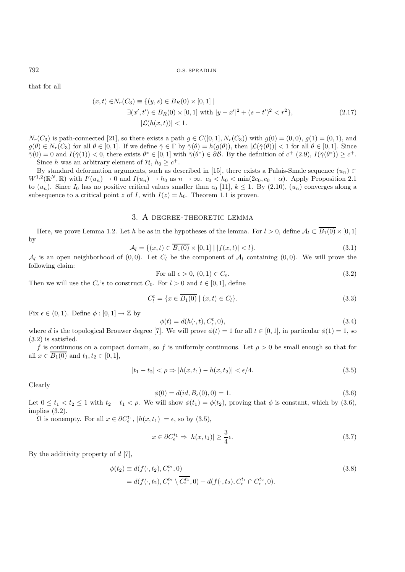that for all

$$
(x,t) \in N_r(C_3) \equiv \{(y,s) \in B_R(0) \times [0,1] \mid \exists (x',t') \in B_R(0) \times [0,1] \text{ with } |y-x'|^2 + (s-t')^2 < r^2\},\
$$
\n
$$
|\mathcal{L}(h(x,t))| < 1.
$$
\n
$$
(2.17)
$$

 $N_r(C_3)$  is path-connected [21], so there exists a path  $g \in C([0,1], N_r(C_3))$  with  $g(0) = (0,0), g(1) = (0,1),$  and  $g(\theta) \in N_r(C_3)$  for all  $\theta \in [0,1]$ . If we define  $\tilde{\gamma} \in \Gamma$  by  $\tilde{\gamma}(\theta) = h(g(\theta))$ , then  $|\mathcal{L}(\tilde{\gamma}(\theta))| < 1$  for all  $\theta \in [0,1]$ . Since  $\tilde{\gamma}(0) = 0$  and  $I(\tilde{\gamma}(1)) < 0$ , there exists  $\theta^* \in [0,1]$  with  $\tilde{\gamma}(\theta^*) \in \partial \mathcal{B}$ . By the definition of  $c^+$  (2.9),  $I(\tilde{\gamma}(\theta^*)) \geq c^+$ . Since h was an arbitrary element of  $\mathcal{H}, h_0 \geq c^+$ .

By standard deformation arguments, such as described in [15], there exists a Palais-Smale sequence  $(u_n)$  $W^{1,2}(\mathbb{R}^N,\mathbb{R})$  with  $I'(u_n) \to 0$  and  $I(u_n) \to h_0$  as  $n \to \infty$ .  $c_0 < h_0 < \min(2c_0, c_0 + \alpha)$ . Apply Proposition 2.1 to  $(u_n)$ . Since  $I_0$  has no positive critical values smaller than  $c_0$  [11],  $k \le 1$ . By (2.10),  $(u_n)$  converges along a subsequence to a critical point z of I, with  $I(z) = h_0$ . Theorem 1.1 is proven.

## 3. A degree-theoretic lemma

Here, we prove Lemma 1.2. Let h be as in the hypotheses of the lemma. For  $l > 0$ , define  $\mathcal{A}_l \subset \overline{B_1(0)} \times [0, 1]$ by

$$
\mathcal{A}_{l} = \{ (x, t) \in \overline{B_{1}(0)} \times [0, 1] \mid |f(x, t)| < l \}. \tag{3.1}
$$

 $\mathcal{A}_l$  is an open neighborhood of  $(0, 0)$ . Let  $C_l$  be the component of  $\mathcal{A}_l$  containing  $(0, 0)$ . We will prove the following claim:

For all 
$$
\epsilon > 0
$$
,  $(0,1) \in C_{\epsilon}$ . 
$$
(3.2)
$$

Then we will use the  $C_{\epsilon}$ 's to construct  $C_0$ . For  $l > 0$  and  $t \in [0, 1]$ , define

$$
C_l^t = \{ x \in \overline{B_1(0)} \mid (x, t) \in C_l \}. \tag{3.3}
$$

Fix  $\epsilon \in (0,1)$ . Define  $\phi : [0,1] \to \mathbb{Z}$  by

$$
\phi(t) = d(h(\cdot, t), C^t_{\epsilon}, 0),\tag{3.4}
$$

where d is the topological Brouwer degree [7]. We will prove  $\phi(t) = 1$  for all  $t \in [0, 1]$ , in particular  $\phi(1) = 1$ , so (3.2) is satisfied.

f is continuous on a compact domain, so f is uniformly continuous. Let  $\rho > 0$  be small enough so that for all  $x \in \overline{B_1(0)}$  and  $t_1, t_2 \in [0, 1]$ ,

$$
|t_1 - t_2| < \rho \Rightarrow |h(x, t_1) - h(x, t_2)| < \epsilon/4. \tag{3.5}
$$

Clearly

$$
\phi(0) = d(id, B_{\epsilon}(0), 0) = 1.
$$
\n(3.6)

Let  $0 \le t_1 < t_2 \le 1$  with  $t_2 - t_1 < \rho$ . We will show  $\phi(t_1) = \phi(t_2)$ , proving that  $\phi$  is constant, which by (3.6), implies (3.2).

 $\Omega$  is nonempty. For all  $x \in \partial C_{\epsilon}^{t_1}$ ,  $|h(x, t_1)| = \epsilon$ , so by (3.5),

$$
x \in \partial C_{\epsilon}^{t_1} \Rightarrow |h(x, t_1)| \ge \frac{3}{4}\epsilon. \tag{3.7}
$$

By the additivity property of  $d \nvert 7$ ,

$$
\begin{aligned} \phi(t_2) &\equiv d(f(\cdot, t_2), C_{\epsilon}^{t_2}, 0) \\ &= d(f(\cdot, t_2), C_{\epsilon}^{t_2} \setminus \overline{C_{\epsilon}^{t_1}}, 0) + d(f(\cdot, t_2), C_{\epsilon}^{t_1} \cap C_{\epsilon}^{t_2}, 0). \end{aligned} \tag{3.8}
$$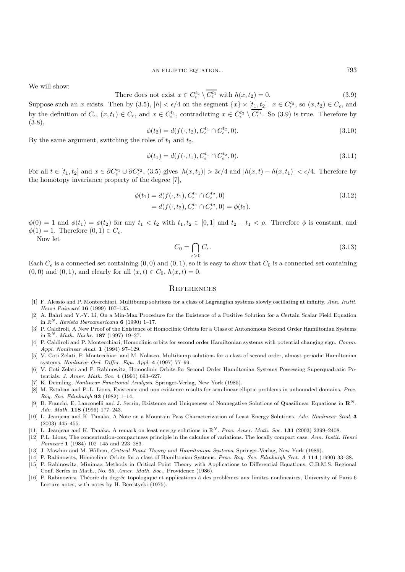We will show:

There does not exist 
$$
x \in C_{\epsilon}^{t_2} \setminus C_{\epsilon}^{t_1}
$$
 with  $h(x, t_2) = 0$ . (3.9)

Suppose such an x exists. Then by (3.5),  $|h| < \epsilon/4$  on the segment  $\{x\} \times [t_1, t_2]$ .  $x \in C_{\epsilon}^{t_2}$ , so  $(x, t_2) \in C_{\epsilon}$ , and by the definition of  $C_{\epsilon}$ ,  $(x,t_1) \in C_{\epsilon}$ , and  $x \in C_{\epsilon}^{t_1}$ , contradicting  $x \in C_{\epsilon}^{t_2} \setminus C_{\epsilon}^{t_1}$ . So (3.9) is true. Therefore by (3.8),

$$
\phi(t_2) = d(f(\cdot, t_2), C_{\epsilon}^{t_1} \cap C_{\epsilon}^{t_2}, 0). \tag{3.10}
$$

By the same argument, switching the roles of  $t_1$  and  $t_2$ ,

$$
\phi(t_1) = d(f(\cdot, t_1), C_{\epsilon}^{t_1} \cap C_{\epsilon}^{t_2}, 0). \tag{3.11}
$$

For all  $t \in [t_1, t_2]$  and  $x \in \partial C_{\epsilon}^{t_1} \cup \partial C_{\epsilon}^{t_2}$ , (3.5) gives  $|h(x, t_1)| > 3\epsilon/4$  and  $|h(x, t) - h(x, t_1)| < \epsilon/4$ . Therefore by the homotopy invariance property of the degree [7],

$$
\begin{aligned} \phi(t_1) &= d(f(\cdot, t_1), C_{\epsilon}^{t_1} \cap C_{\epsilon}^{t_2}, 0) \\ &= d(f(\cdot, t_2), C_{\epsilon}^{t_1} \cap C_{\epsilon}^{t_2}, 0) = \phi(t_2). \end{aligned} \tag{3.12}
$$

 $\phi(0) = 1$  and  $\phi(t_1) = \phi(t_2)$  for any  $t_1 < t_2$  with  $t_1, t_2 \in [0, 1]$  and  $t_2 - t_1 < \rho$ . Therefore  $\phi$  is constant, and  $\phi(1) = 1$ . Therefore  $(0, 1) \in C_{\epsilon}$ .

Now let

$$
C_0 = \bigcap_{\epsilon > 0} C_{\epsilon}.\tag{3.13}
$$

Each  $C_{\epsilon}$  is a connected set containing  $(0, 0)$  and  $(0, 1)$ , so it is easy to show that  $C_0$  is a connected set containing  $(0, 0)$  and  $(0, 1)$ , and clearly for all  $(x, t) \in C_0$ ,  $h(x, t) = 0$ .

## **REFERENCES**

- [1] F. Alessio and P. Montecchiari, Multibump solutions for a class of Lagrangian systems slowly oscillating at infinity. Ann. Instit. Henri Poincaré 16 (1999) 107-135.
- [2] A. Bahri and Y.-Y. Li, On a Min-Max Procedure for the Existence of a Positive Solution for a Certain Scalar Field Equation in  $\mathbb{R}^N$ . Revista Iberoamericana **6** (1990) 1–17.
- [3] P. Caldiroli, A New Proof of the Existence of Homoclinic Orbits for a Class of Autonomous Second Order Hamiltonian Systems in  $\mathbb{R}^N$ . *Math. Nachr.* **187** (1997) 19–27.
- [4] P. Caldiroli and P. Montecchiari, Homoclinic orbits for second order Hamiltonian systems with potential changing sign. Comm. Appl. Nonlinear Anal. **1** (1994) 97–129.
- [5] V. Coti Zelati, P. Montecchiari and M. Nolasco, Multibump solutions for a class of second order, almost periodic Hamiltonian systems. Nonlinear Ord. Differ. Equ. Appl. **4** (1997) 77–99.
- [6] V. Coti Zelati and P. Rabinowitz, Homoclinic Orbits for Second Order Hamiltonian Systems Possessing Superquadratic Potentials. J. Amer. Math. Soc. **4** (1991) 693–627.
- [7] K. Deimling, Nonlinear Functional Analysis. Springer-Verlag, New York (1985).
- [8] M. Estaban and P.-L. Lions, Existence and non existence results for semilinear elliptic problems in unbounded domains. Proc. Roy. Soc. Edinburgh **93** (1982) 1–14.
- [9] B. Franchi, E. Lanconelli and J. Serrin, Existence and Uniqueness of Nonnegative Solutions of Quasilinear Equations in **R***<sup>N</sup>* . Adv. Math. **118** (1996) 177–243.
- [10] L. Jeanjean and K. Tanaka, A Note on a Mountain Pass Characterization of Least Energy Solutions. Adv. Nonlinear Stud. **3** (2003) 445–455.
- [11] L. Jeanjean and K. Tanaka, A remark on least energy solutions in R*<sup>N</sup>* . Proc. Amer. Math. Soc. **131** (2003) 2399–2408.
- [12] P.L. Lions, The concentration-compactness principle in the calculus of variations. The locally compact case. Ann. Instit. Henri Poincaré **1** (1984) 102–145 and 223–283.
- [13] J. Mawhin and M. Willem, Critical Point Theory and Hamiltonian Systems. Springer-Verlag, New York (1989).
- [14] P. Rabinowitz, Homoclinic Orbits for a class of Hamiltonian Systems. Proc. Roy. Soc. Edinburgh Sect. A **114** (1990) 33–38.
- [15] P. Rabinowitz, Minimax Methods in Critical Point Theory with Applications to Differential Equations, C.B.M.S. Regional Conf. Series in Math., No. 65, Amer. Math. Soc., Providence (1986).
- [16] P. Rabinowitz, Théorie du degrée topologique et applications à des problèmes aux limites nonlineaires, University of Paris 6 Lecture notes, with notes by H. Berestycki (1975).